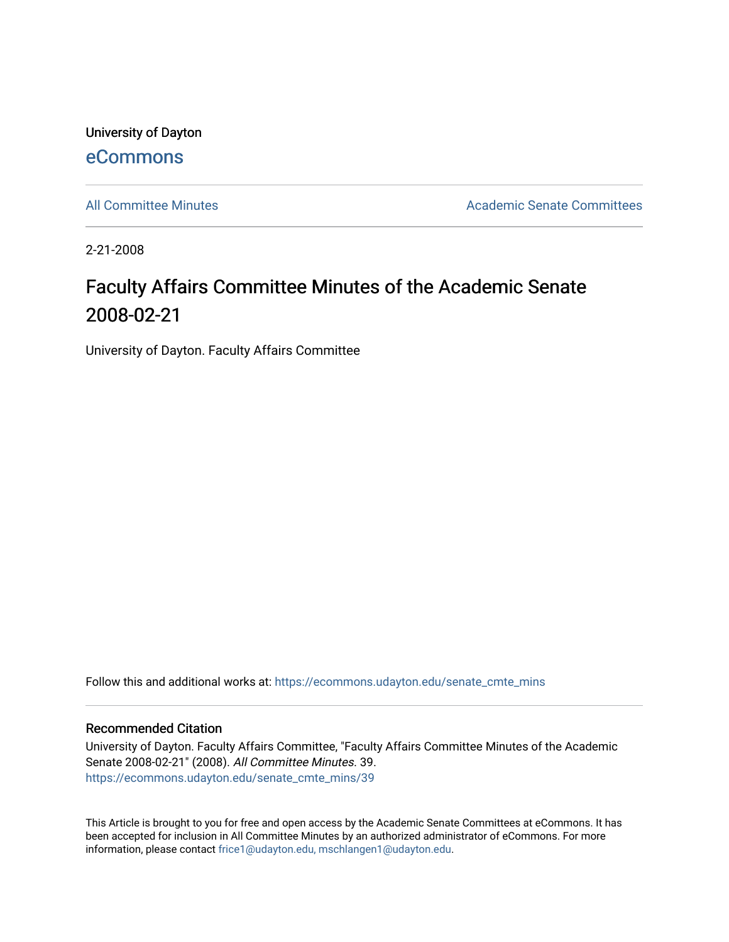University of Dayton [eCommons](https://ecommons.udayton.edu/)

[All Committee Minutes](https://ecommons.udayton.edu/senate_cmte_mins) Academic Senate Committees

2-21-2008

## Faculty Affairs Committee Minutes of the Academic Senate 2008-02-21

University of Dayton. Faculty Affairs Committee

Follow this and additional works at: [https://ecommons.udayton.edu/senate\\_cmte\\_mins](https://ecommons.udayton.edu/senate_cmte_mins?utm_source=ecommons.udayton.edu%2Fsenate_cmte_mins%2F39&utm_medium=PDF&utm_campaign=PDFCoverPages)

## Recommended Citation

University of Dayton. Faculty Affairs Committee, "Faculty Affairs Committee Minutes of the Academic Senate 2008-02-21" (2008). All Committee Minutes. 39. [https://ecommons.udayton.edu/senate\\_cmte\\_mins/39](https://ecommons.udayton.edu/senate_cmte_mins/39?utm_source=ecommons.udayton.edu%2Fsenate_cmte_mins%2F39&utm_medium=PDF&utm_campaign=PDFCoverPages) 

This Article is brought to you for free and open access by the Academic Senate Committees at eCommons. It has been accepted for inclusion in All Committee Minutes by an authorized administrator of eCommons. For more information, please contact [frice1@udayton.edu, mschlangen1@udayton.edu](mailto:frice1@udayton.edu,%20mschlangen1@udayton.edu).